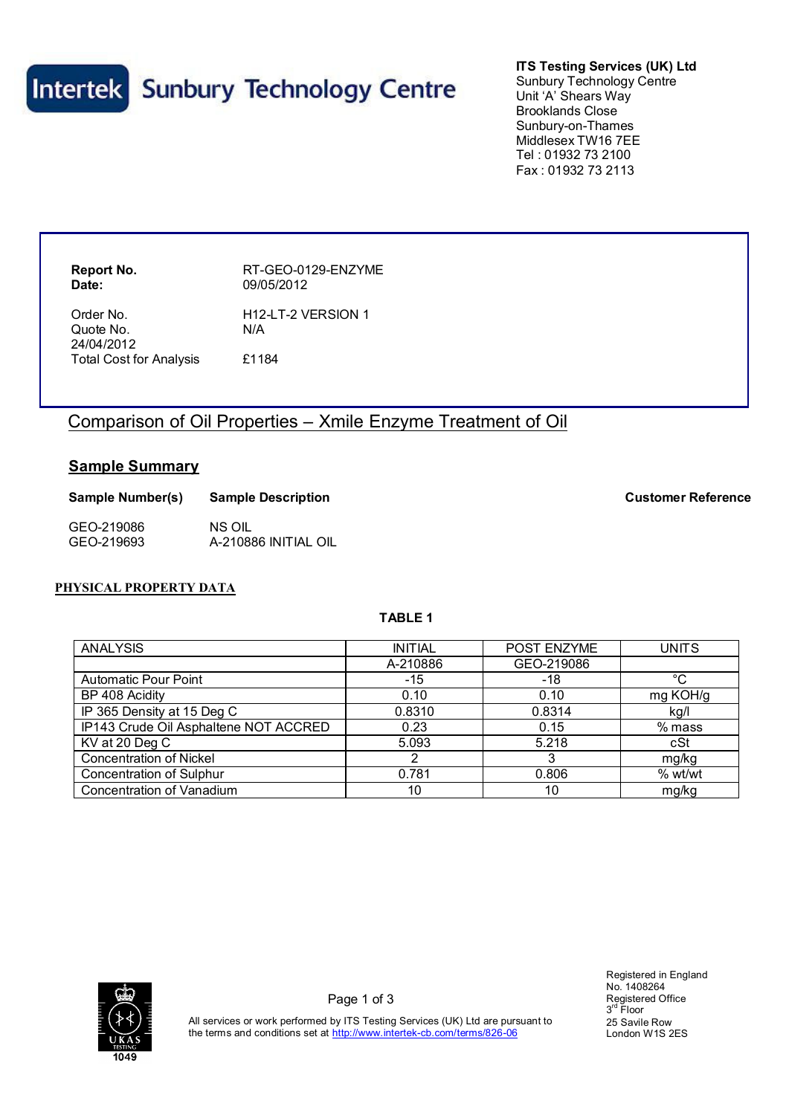

**ITS Testing Services (UK) Ltd** Sunbury Technology Centre Unit 'A' Shears Way Brooklands Close Sunbury-on-Thames Middlesex TW16 7EE Tel : 01932 73 2100 Fax : 01932 73 2113

**Date:** 09/05/2012

**Report No.** RT-GEO-0129-ENZYME

Order No. **H12-LT-2 VERSION 1** Quote No. N/A 24/04/2012 Total Cost for Analysis £1184

# Comparison of Oil Properties – Xmile Enzyme Treatment of Oil

# **Sample Summary**

| Sample Number(s) | <b>Sample Description</b> |  |
|------------------|---------------------------|--|
| GEO-219086       | NS OIL                    |  |
| GEO-219693       | A-210886 INITIAL OIL      |  |

## **PHYSICAL PROPERTY DATA**

#### **TABLE 1**

| <b>ANALYSIS</b>                       | <b>INITIAL</b> | POST ENZYME | <b>UNITS</b> |
|---------------------------------------|----------------|-------------|--------------|
|                                       | A-210886       | GEO-219086  |              |
| <b>Automatic Pour Point</b>           | $-15$          | -18         | °C           |
| BP 408 Acidity                        | 0.10           | 0.10        | mg KOH/g     |
| IP 365 Density at 15 Deg C            | 0.8310         | 0.8314      | kg/l         |
| IP143 Crude Oil Asphaltene NOT ACCRED | 0.23           | 0.15        | $%$ mass     |
| KV at 20 Deg C                        | 5.093          | 5.218       | cSt          |
| <b>Concentration of Nickel</b>        |                |             | mg/kg        |
| <b>Concentration of Sulphur</b>       | 0.781          | 0.806       | % wt/wt      |
| Concentration of Vanadium             | 10             | 10          | mg/kg        |



Registered in England No. 1408264 Registered Office 3 rd Floor 25 Savile Row London W1S 2ES

All services or work performed by ITS Testing Services (UK) Ltd are pursuant to the terms and conditions set at http://www.intertek-cb.com/terms/826-06

**Sample Number(s) Sample Description Customer Reference**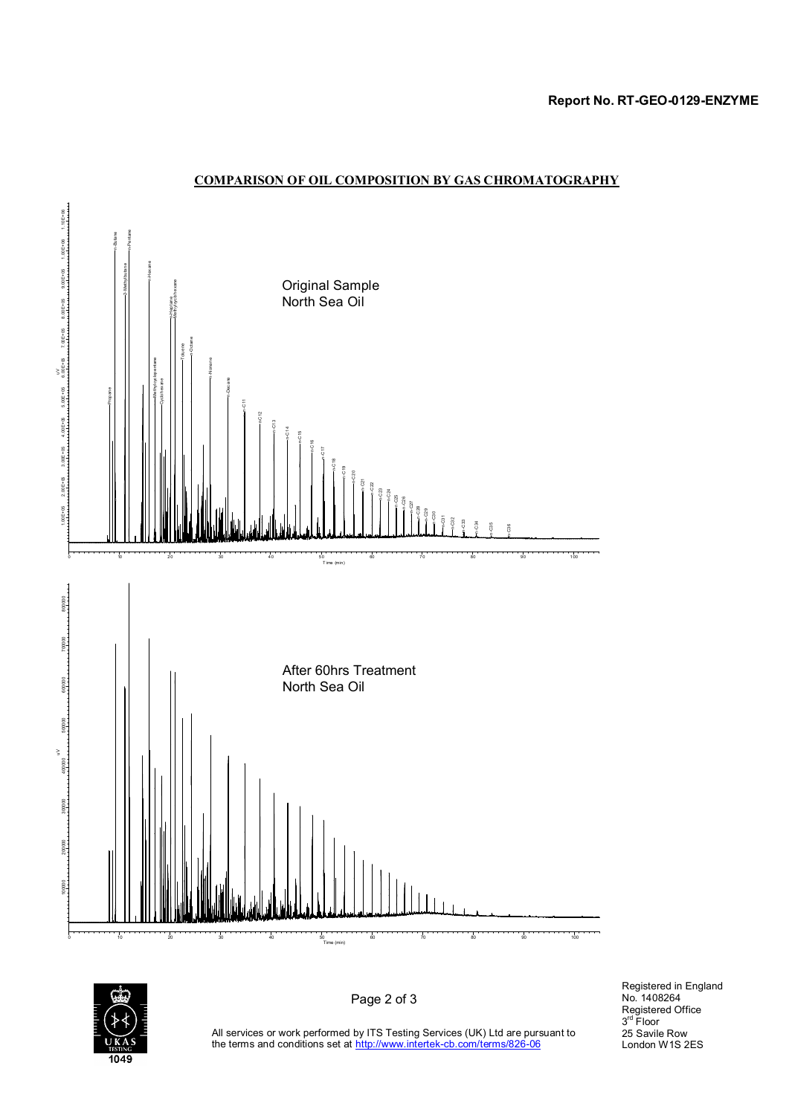#### **Report No. RT-GEO-0129-ENZYME**







Page 2 of 3

Registered in England No. 1408264 Registered Office 3 rd Floor 25 Savile Row London W1S 2ES

All services or work performed by ITS Testing Services (UK) Ltd are pursuant to the terms and conditions set at http://www.intertek-cb.com/terms/826-06